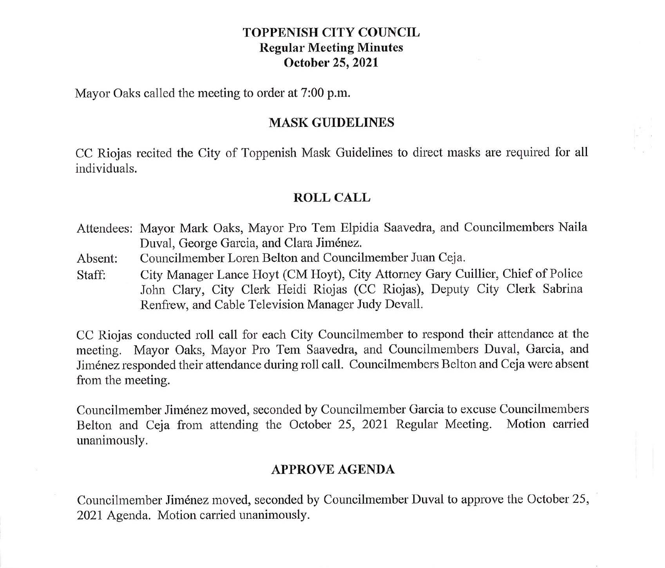## **TOPPENISH CITY COUNCIL Regular Meeting Minutes October 25, 2021**

Mayor Oaks called the meeting to order at 7:00 p.m.

#### **MASK GUIDELINES**

CC Riojas recited the City of Toppenish Mask Guidelines to direct masks are required for all individuals.

# **ROLL CALL**

- Attendees: Mayor Mark Oaks, Mayor Pro Tem Elpidia Saavedra, and Councilmembers Naila Duval, George Garcia, and Clara Jiménez.
- Absent: Councilmember Loren Belton and Councilmember Juan Ceja.
- Staff: City Manager Lance Hoyt (CM Hoyt), City Attorney Gary Cuillier, Chief of Police John Clary, City Clerk Heidi Riojas (CC Riojas), Deputy City Clerk Sabrina Renfrew, and Cable Television Manager Judy Devall.

CC Riojas conducted roll call for each City Councilmember to respond their attendance at the meeting. Mayor Oaks, Mayor Pro Tem Saavedra, and Councilmembers Duval, Garcia, and Jimenez responded their attendance during roll call. Councilmembers Belton and Ceja were absent from the meeting.

Councilmember Jimenez moved, seconded by Councilmember Garcia to excuse Councilmembers Belton and Ceja from attending the October 25, 2021 Regular Meeting. Motion carried unanimously.

# **APPROVE AGENDA**

Councilmember Jimenez moved, seconded by Councilmember Duval to approve the October 25, 2021 Agenda. Motion carried unanimously.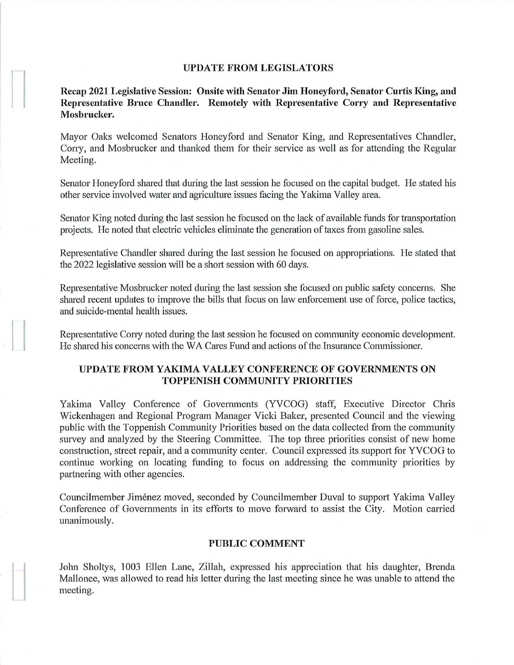#### **UPDATE FROM LEGISLATORS**

**Recap 2021 Legislative Session: Onsite with Senator Jim Honeyford, Senator Curtis King, and Representative Bruce Chandler. Remotely with Representative Corry and Representative Mosbrucker.** 

Mayor Oaks welcomed Senators Honeyford and Senator King, and Representatives Chandler, Corry, and Mosbrucker and thanked them for their service as well as for attending the Regular Meeting.

Senator Honeyford shared that during the last session he focused on the capital budget. He stated his other service involved water and agriculture issues facing the Yakima Valley area.

Senator King noted during the last session he focused on the lack of available funds for transportation projects. He noted that electric vehicles eliminate the generation of taxes from gasoline sales.

Representative Chandler shared during the last session he focused on appropriations. He stated that the 2022 legislative session will be a short session with 60 days.

Representative Mosbrucker noted during the last session she focused on public safety concerns. She shared recent updates to improve the bills that focus on law enforcement use of force, police tactics, and suicide-mental health issues.

Representative Corry noted during the last session he focused on community economic development. He shared his concerns with the WA Cares Fund and actions of the Insurance Conunissioner.

#### **UPDATE FROM YAKIMA VALLEY CONFERENCE OF GOVERNMENTS ON TOPPENISH COMMUNITY PRIORITIES**

Yakima Valley Conference of Governments (YVCOG) staff, Executive Director Chris Wickenhagen and Regional Program Manager Vicki Baker, presented Council and the viewing public with the Toppenish Community Priorities based on the data collected from the community survey and analyzed by the Steering Committee. The top three priorities consist of new home construction, street repair, and a community center. Council expressed its support for YVCOG to continue working on locating funding to focus on addressing the community priorities by partnering with other agencies.

Councilmember Jimenez moved, seconded by Councilmember Duval to support Yakima Valley Conference of Governments in its efforts to move forward to assist the City. Motion carried unanimously.

#### **PUBLIC COMMENT**

John Sholtys, 1003 Ellen Lane, Zillah, expressed his appreciation that his daughter, Brenda Mallonee, was allowed to read his letter during the last meeting since he was unable to attend the meeting.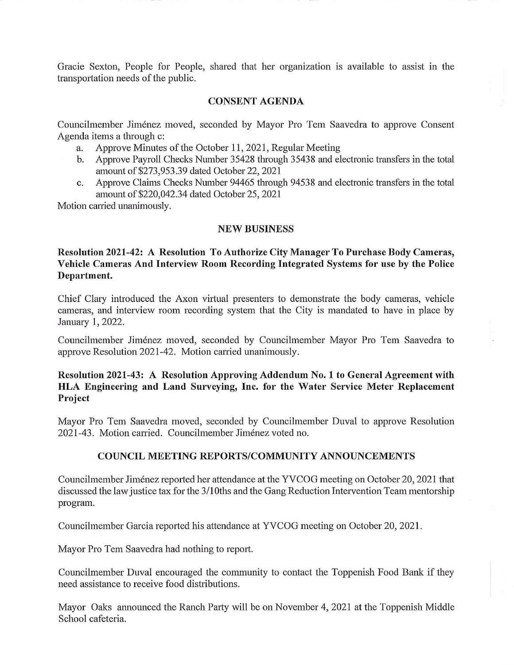Gracie Sexton, People for People, shared that her organization is available to assist in the transportation needs of the public.

## **CONSENT AGENDA**

Councilmember Jimenez moved, seconded by Mayor Pro Tem Saavedra to approve Consent Agenda items a through c:

- a. Approve Minutes of the October 11, 2021, Regular Meeting
- b. Approve Payroll Checks Number 35428 through 35438 and electronic transfers in the total amount of \$273,953.39 dated October 22, 2021
- c. Approve Claims Checks Number 94465 through 94538 and electronic transfers in the total amount of \$220,042.34 dated October 25, 2021

Motion carried unanimously.

## **NEW BUSINESS**

**Resolution 2021-42: A Resolution To Authorize City Manager To Purchase Body Cameras, Vehicle Cameras And Interview Room Recording Integrated Systems for use by the Police Department.** 

Chief Clary introduced the Axon virtual presenters to demonstrate the body cameras, vehicle cameras, and interview room recording system that the City is mandated to have in place by January 1, 2022.

Councilmember Jiménez moved, seconded by Councilmember Mayor Pro Tem Saavedra to approve Resolution 2021-42. Motion carried unanimously.

# **Resolution 2021-43: A Resolution Approving Addendum No. 1 to General Agreement with HLA Engineering and Land Surveying, Inc. for the Water Service Meter Replacement Project**

Mayor Pro Tem Saavedra moved, seconded by Councilmember Duval to approve Resolution 2021-43. Motion carried. Councilmember Jimenez voted no.

## **COUNCIL MEETING REPORTS/COMMUNITY ANNOUNCEMENTS**

Councilmember Jimenez reported her attendance at the YVCOG meeting on October 20, 2021 that discussed the law justice tax for the 3/1 0ths and the Gang Reduction Intervention Team mentorship program.

Councilmember Garcia reported his attendance at YVCOG meeting on October 20, 2021.

Mayor Pro Tem Saavedra had nothing to report.

Councilmember Duval encouraged the conununity to contact the Toppenish Food Bank if they need assistance to receive food distributions.

Mayor Oaks announced the Ranch Party will be on November 4, 2021 at the Toppenish Middle School cafeteria.